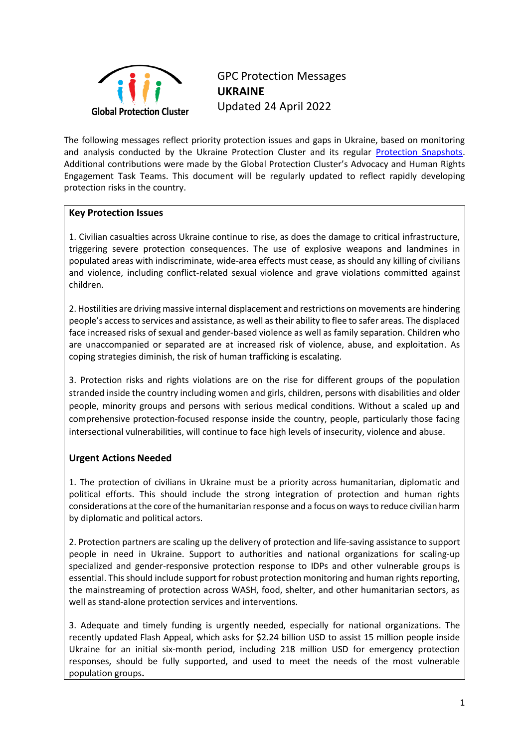

GPC Protection Messages **UKRAINE**  Updated 24 April 2022

The following messages reflect priority protection issues and gaps in Ukraine, based on monitoring and analysis conducted by the Ukraine Protection Cluster and its regular [Protection Snapshots.](https://www.globalprotectioncluster.org/2022/03/03/ukraine-crisis-protection-snapshot/) Additional contributions were made by the Global Protection Cluster's Advocacy and Human Rights Engagement Task Teams. This document will be regularly updated to reflect rapidly developing protection risks in the country.

### **Key Protection Issues**

1. Civilian casualties across Ukraine continue to rise, as does the damage to critical infrastructure, triggering severe protection consequences. The use of explosive weapons and landmines in populated areas with indiscriminate, wide-area effects must cease, as should any killing of civilians and violence, including conflict-related sexual violence and grave violations committed against children.

2. Hostilities are driving massive internal displacement and restrictions on movements are hindering people's access to services and assistance, as well as their ability to flee to safer areas. The displaced face increased risks of sexual and gender-based violence as well as family separation. Children who are unaccompanied or separated are at increased risk of violence, abuse, and exploitation. As coping strategies diminish, the risk of human trafficking is escalating.

3. Protection risks and rights violations are on the rise for different groups of the population stranded inside the country including women and girls, children, persons with disabilities and older people, minority groups and persons with serious medical conditions. Without a scaled up and comprehensive protection-focused response inside the country, people, particularly those facing intersectional vulnerabilities, will continue to face high levels of insecurity, violence and abuse.

## **Urgent Actions Needed**

1. The protection of civilians in Ukraine must be a priority across humanitarian, diplomatic and political efforts. This should include the strong integration of protection and human rights considerations at the core of the humanitarian response and a focus on ways to reduce civilian harm by diplomatic and political actors.

2. Protection partners are scaling up the delivery of protection and life-saving assistance to support people in need in Ukraine. Support to authorities and national organizations for scaling-up specialized and gender-responsive protection response to IDPs and other vulnerable groups is essential. This should include support for robust protection monitoring and human rights reporting, the mainstreaming of protection across WASH, food, shelter, and other humanitarian sectors, as well as stand-alone protection services and interventions.

3. Adequate and timely funding is urgently needed, especially for national organizations. The recently updated Flash Appeal, which asks for \$2.24 billion USD to assist 15 million people inside Ukraine for an initial six-month period, including 218 million USD for emergency protection responses, should be fully supported, and used to meet the needs of the most vulnerable population groups**.**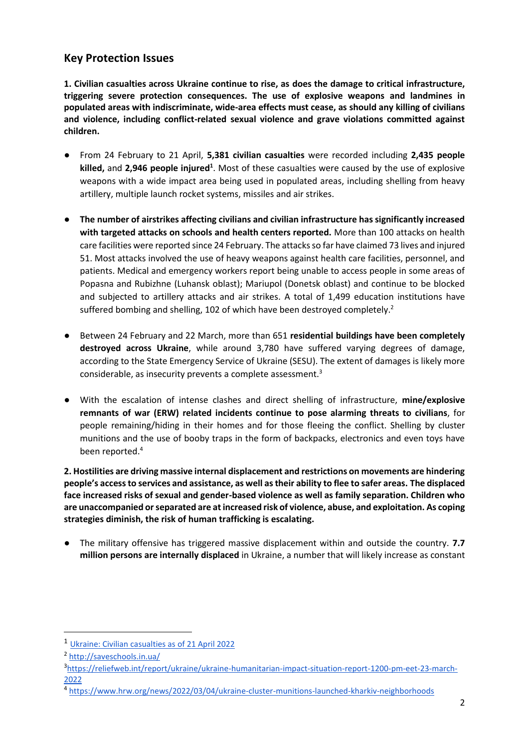# **Key Protection Issues**

**1. Civilian casualties across Ukraine continue to rise, as does the damage to critical infrastructure, triggering severe protection consequences. The use of explosive weapons and landmines in populated areas with indiscriminate, wide-area effects must cease, as should any killing of civilians and violence, including conflict-related sexual violence and grave violations committed against children.**

- From 24 February to 21 April, **5,381 civilian casualties** were recorded including **2,435 people** killed, and 2,946 people injured<sup>1</sup>. Most of these casualties were caused by the use of explosive weapons with a wide impact area being used in populated areas, including shelling from heavy artillery, multiple launch rocket systems, missiles and air strikes.
- **The number of airstrikes affecting civilians and civilian infrastructure has significantly increased with targeted attacks on schools and health centers reported.** More than 100 attacks on health care facilities were reported since 24 February. The attacks so far have claimed 73 lives and injured 51. Most attacks involved the use of heavy weapons against health care facilities, personnel, and patients. Medical and emergency workers report being unable to access people in some areas of Popasna and Rubizhne (Luhansk oblast); Mariupol (Donetsk oblast) and continue to be blocked and subjected to artillery attacks and air strikes. A total of 1,499 education institutions have suffered bombing and shelling, 102 of which have been destroyed completely.<sup>2</sup>
- Between 24 February and 22 March, more than 651 residential buildings have been completely **destroyed across Ukraine**, while around 3,780 have suffered varying degrees of damage, according to the State Emergency Service of Ukraine (SESU). The extent of damages is likely more considerable, as insecurity prevents a complete assessment.<sup>3</sup>
- With the escalation of intense clashes and direct shelling of infrastructure, **mine/explosive remnants of war (ERW) related incidents continue to pose alarming threats to civilians**, for people remaining/hiding in their homes and for those fleeing the conflict. Shelling by cluster munitions and the use of booby traps in the form of backpacks, electronics and even toys have been reported. 4

**2. Hostilities are driving massive internal displacement and restrictions on movements are hindering people's access to services and assistance, as well as their ability to flee to safer areas. The displaced face increased risks of sexual and gender-based violence as well as family separation. Children who are unaccompanied or separated are at increased risk of violence, abuse, and exploitation. As coping strategies diminish, the risk of human trafficking is escalating.** 

● The military offensive has triggered massive displacement within and outside the country. **7.7 million persons are internally displaced** in Ukraine, a number that will likely increase as constant

<sup>1</sup> [Ukraine: Civilian casualties as of 21 April 2022](https://eur02.safelinks.protection.outlook.com/?url=https%3A%2F%2Fukraine.un.org%2Fen%2F178932-ukraine-civilian-casualties-21-april-2022&data=05%7C01%7Cdozin%40unhcr.org%7C4c73655375a947927bea08da2456764b%7Ce5c37981666441348a0c6543d2af80be%7C0%7C0%7C637862251042173230%7CUnknown%7CTWFpbGZsb3d8eyJWIjoiMC4wLjAwMDAiLCJQIjoiV2luMzIiLCJBTiI6Ik1haWwiLCJXVCI6Mn0%3D%7C3000%7C%7C%7C&sdata=qpYjmJHooo3wKaQPG4f96YFqTyBVGQsh0hp2HW8khwg%3D&reserved=0)

<sup>2</sup> <http://saveschools.in.ua/>

<sup>3</sup> [https://reliefweb.int/report/ukraine/ukraine-humanitarian-impact-situation-report-1200-pm-eet-23-march-](https://reliefweb.int/report/ukraine/ukraine-humanitarian-impact-situation-report-1200-pm-eet-23-march-2022)[2022](https://reliefweb.int/report/ukraine/ukraine-humanitarian-impact-situation-report-1200-pm-eet-23-march-2022)

<sup>4</sup> <https://www.hrw.org/news/2022/03/04/ukraine-cluster-munitions-launched-kharkiv-neighborhoods>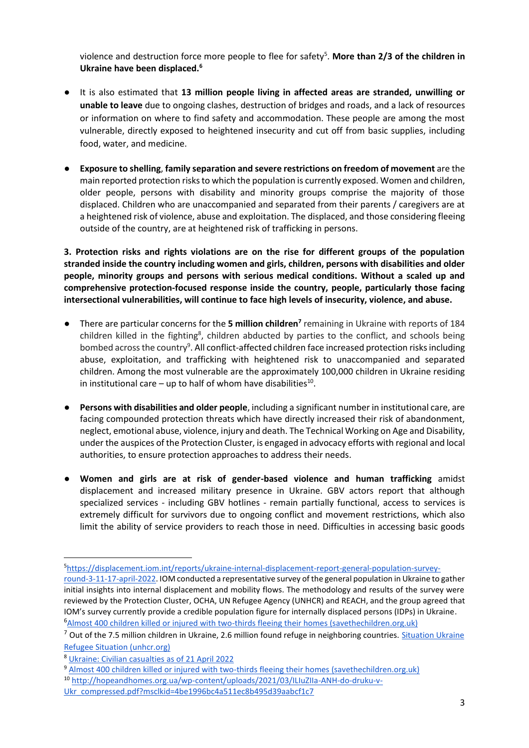violence and destruction force more people to flee for safety<sup>5</sup>. More than 2/3 of the children in **Ukraine have been displaced.<sup>6</sup>**

- It is also estimated that **13 million people living in affected areas are stranded, unwilling or unable to leave** due to ongoing clashes, destruction of bridges and roads, and a lack of resources or information on where to find safety and accommodation. These people are among the most vulnerable, directly exposed to heightened insecurity and cut off from basic supplies, including food, water, and medicine.
- **Exposure to shelling**, **family separation and severe restrictions on freedom of movement** are the main reported protection risksto which the population is currently exposed. Women and children, older people, persons with disability and minority groups comprise the majority of those displaced. Children who are unaccompanied and separated from their parents / caregivers are at a heightened risk of violence, abuse and exploitation. The displaced, and those considering fleeing outside of the country, are at heightened risk of trafficking in persons.

**3. Protection risks and rights violations are on the rise for different groups of the population stranded inside the country including women and girls, children, persons with disabilities and older people, minority groups and persons with serious medical conditions. Without a scaled up and comprehensive protection-focused response inside the country, people, particularly those facing intersectional vulnerabilities, will continue to face high levels of insecurity, violence, and abuse.**

- There are particular concerns for the **5 million children<sup>7</sup>** remaining in Ukraine with reports of 184 children killed in the fighting<sup>8</sup>, children abducted by parties to the conflict, and schools being bombed across the country<sup>9</sup>. All conflict-affected children face increased protection risks including abuse, exploitation, and trafficking with heightened risk to unaccompanied and separated children. Among the most vulnerable are the approximately 100,000 children in Ukraine residing in institutional care  $-$  up to half of whom have disabilities<sup>10</sup>.
- Persons with disabilities and older people, including a significant number in institutional care, are facing compounded protection threats which have directly increased their risk of abandonment, neglect, emotional abuse, violence, injury and death. The Technical Working on Age and Disability, under the auspices of the Protection Cluster, is engaged in advocacy efforts with regional and local authorities, to ensure protection approaches to address their needs.
- **Women and girls are at risk of gender-based violence and human trafficking** amidst displacement and increased military presence in Ukraine. GBV actors report that although specialized services - including GBV hotlines - remain partially functional, access to services is extremely difficult for survivors due to ongoing conflict and movement restrictions, which also limit the ability of service providers to reach those in need. Difficulties in accessing basic goods

<sup>5</sup>[https://displacement.iom.int/reports/ukraine-internal-displacement-report-general-population-survey-](https://displacement.iom.int/reports/ukraine-internal-displacement-report-general-population-survey-round-3-11-17-april-2022)

[round-3-11-17-april-2022.](https://displacement.iom.int/reports/ukraine-internal-displacement-report-general-population-survey-round-3-11-17-april-2022) IOM conducted a representative survey of the general population in Ukraine to gather initial insights into internal displacement and mobility flows. The methodology and results of the survey were reviewed by the Protection Cluster, OCHA, UN Refugee Agency (UNHCR) and REACH, and the group agreed that IOM's survey currently provide a credible population figure for internally displaced persons (IDPs) in Ukraine. <sup>6</sup>[Almost 400 children killed or injured with two-thirds fleeing their homes \(savethechildren.org.uk\)](https://eur02.safelinks.protection.outlook.com/?url=https%3A%2F%2Fwww.savethechildren.org.uk%2Fnews%2Fmedia-centre%2Fpress-releases%2Ftwo-thirds-of-children-in-ukraine-fled-their-homes&data=05%7C01%7Cdozin%40unhcr.org%7C0fe5790da1bb4a8642bf08da26cba4c5%7Ce5c37981666441348a0c6543d2af80be%7C0%7C0%7C637864954928483415%7CUnknown%7CTWFpbGZsb3d8eyJWIjoiMC4wLjAwMDAiLCJQIjoiV2luMzIiLCJBTiI6Ik1haWwiLCJXVCI6Mn0%3D%7C3000%7C%7C%7C&sdata=BZthXCmaED%2FSp03EmEEuhX%2FKOnf%2FZxk63qa5vVt4f28%3D&reserved=0)

 $<sup>7</sup>$  Out of the 7.5 million children in Ukraine, 2.6 million found refuge in neighboring countries. Situation Ukraine</sup> [Refugee Situation \(unhcr.org\)](https://eur02.safelinks.protection.outlook.com/?url=https%3A%2F%2Fdata2.unhcr.org%2Fen%2Fsituations%2Fukraine&data=05%7C01%7Cdozin%40unhcr.org%7C0fe5790da1bb4a8642bf08da26cba4c5%7Ce5c37981666441348a0c6543d2af80be%7C0%7C0%7C637864954928483415%7CUnknown%7CTWFpbGZsb3d8eyJWIjoiMC4wLjAwMDAiLCJQIjoiV2luMzIiLCJBTiI6Ik1haWwiLCJXVCI6Mn0%3D%7C3000%7C%7C%7C&sdata=8lpqRQtzVqtPa3aQfmzC0wUF0wJF4vWBuj6ibNPY4fM%3D&reserved=0)

<sup>8</sup> Ukraine: Civilian casualties as of 21 April 2022

<sup>9</sup> [Almost 400 children killed or injured with two-thirds fleeing their homes \(savethechildren.org.uk\)](https://eur02.safelinks.protection.outlook.com/?url=https%3A%2F%2Fwww.savethechildren.org.uk%2Fnews%2Fmedia-centre%2Fpress-releases%2Ftwo-thirds-of-children-in-ukraine-fled-their-homes&data=05%7C01%7Cdozin%40unhcr.org%7C0fe5790da1bb4a8642bf08da26cba4c5%7Ce5c37981666441348a0c6543d2af80be%7C0%7C0%7C637864954928483415%7CUnknown%7CTWFpbGZsb3d8eyJWIjoiMC4wLjAwMDAiLCJQIjoiV2luMzIiLCJBTiI6Ik1haWwiLCJXVCI6Mn0%3D%7C3000%7C%7C%7C&sdata=BZthXCmaED%2FSp03EmEEuhX%2FKOnf%2FZxk63qa5vVt4f28%3D&reserved=0)

<sup>10</sup> [http://hopeandhomes.org.ua/wp-content/uploads/2021/03/ILIuZIIa-ANH-do-druku-v-](http://hopeandhomes.org.ua/wp-content/uploads/2021/03/ILIuZIIa-ANH-do-druku-v-Ukr_compressed.pdf?msclkid=4be1996bc4a511ec8b495d39aabcf1c7)

[Ukr\\_compressed.pdf?msclkid=4be1996bc4a511ec8b495d39aabcf1c7](http://hopeandhomes.org.ua/wp-content/uploads/2021/03/ILIuZIIa-ANH-do-druku-v-Ukr_compressed.pdf?msclkid=4be1996bc4a511ec8b495d39aabcf1c7)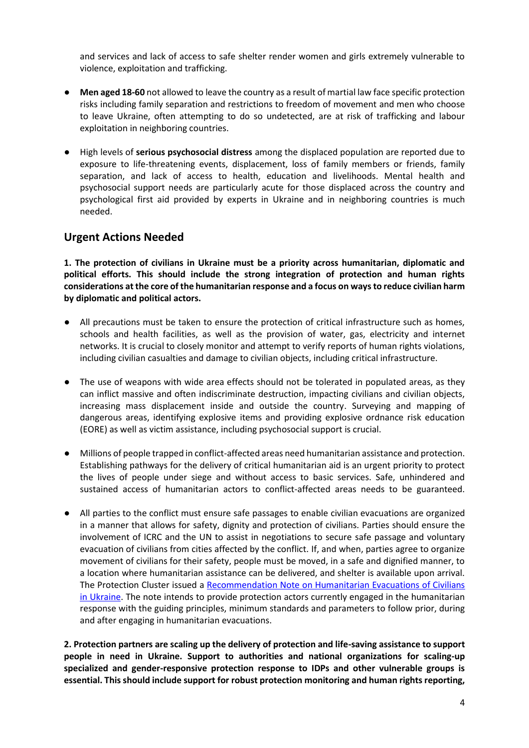and services and lack of access to safe shelter render women and girls extremely vulnerable to violence, exploitation and trafficking.

- **Men aged 18-60** not allowed to leave the country as a result of martial law face specific protection risks including family separation and restrictions to freedom of movement and men who choose to leave Ukraine, often attempting to do so undetected, are at risk of trafficking and labour exploitation in neighboring countries.
- High levels of **serious psychosocial distress** among the displaced population are reported due to exposure to life-threatening events, displacement, loss of family members or friends, family separation, and lack of access to health, education and livelihoods. Mental health and psychosocial support needs are particularly acute for those displaced across the country and psychological first aid provided by experts in Ukraine and in neighboring countries is much needed.

## **Urgent Actions Needed**

**1. The protection of civilians in Ukraine must be a priority across humanitarian, diplomatic and political efforts. This should include the strong integration of protection and human rights considerations at the core of the humanitarian response and a focus on ways to reduce civilian harm by diplomatic and political actors.** 

- All precautions must be taken to ensure the protection of critical infrastructure such as homes, schools and health facilities, as well as the provision of water, gas, electricity and internet networks. It is crucial to closely monitor and attempt to verify reports of human rights violations, including civilian casualties and damage to civilian objects, including critical infrastructure.
- The use of weapons with wide area effects should not be tolerated in populated areas, as they can inflict massive and often indiscriminate destruction, impacting civilians and civilian objects, increasing mass displacement inside and outside the country. Surveying and mapping of dangerous areas, identifying explosive items and providing explosive ordnance risk education (EORE) as well as victim assistance, including psychosocial support is crucial.
- Millions of people trapped in conflict-affected areas need humanitarian assistance and protection. Establishing pathways for the delivery of critical humanitarian aid is an urgent priority to protect the lives of people under siege and without access to basic services. Safe, unhindered and sustained access of humanitarian actors to conflict-affected areas needs to be guaranteed.
- All parties to the conflict must ensure safe passages to enable civilian evacuations are organized in a manner that allows for safety, dignity and protection of civilians. Parties should ensure the involvement of ICRC and the UN to assist in negotiations to secure safe passage and voluntary evacuation of civilians from cities affected by the conflict. If, and when, parties agree to organize movement of civilians for their safety, people must be moved, in a safe and dignified manner, to a location where humanitarian assistance can be delivered, and shelter is available upon arrival. The Protection Cluster issued a [Recommendation Note on Humanitarian Evacuations of Civilians](https://www.humanitarianresponse.info/en/operations/ukraine/document/protection-cluster-recommendation-note-humanitarian-evacuations)  [in Ukraine.](https://www.humanitarianresponse.info/en/operations/ukraine/document/protection-cluster-recommendation-note-humanitarian-evacuations) The note intends to provide protection actors currently engaged in the humanitarian response with the guiding principles, minimum standards and parameters to follow prior, during and after engaging in humanitarian evacuations.

**2. Protection partners are scaling up the delivery of protection and life-saving assistance to support people in need in Ukraine. Support to authorities and national organizations for scaling-up specialized and gender-responsive protection response to IDPs and other vulnerable groups is essential. This should include support for robust protection monitoring and human rights reporting,**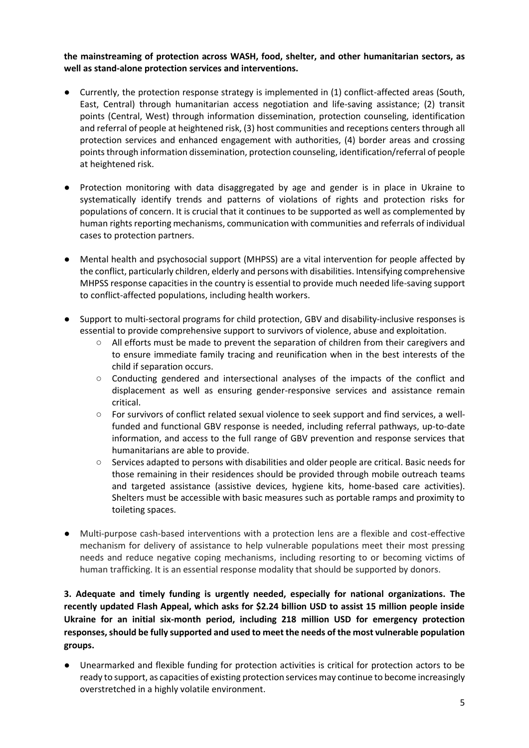#### **the mainstreaming of protection across WASH, food, shelter, and other humanitarian sectors, as well as stand-alone protection services and interventions.**

- Currently, the protection response strategy is implemented in (1) conflict-affected areas (South, East, Central) through humanitarian access negotiation and life-saving assistance; (2) transit points (Central, West) through information dissemination, protection counseling, identification and referral of people at heightened risk, (3) host communities and receptions centers through all protection services and enhanced engagement with authorities, (4) border areas and crossing points through information dissemination, protection counseling, identification/referral of people at heightened risk.
- Protection monitoring with data disaggregated by age and gender is in place in Ukraine to systematically identify trends and patterns of violations of rights and protection risks for populations of concern. It is crucial that it continues to be supported as well as complemented by human rights reporting mechanisms, communication with communities and referrals of individual cases to protection partners.
- Mental health and psychosocial support (MHPSS) are a vital intervention for people affected by the conflict, particularly children, elderly and persons with disabilities. Intensifying comprehensive MHPSS response capacities in the country is essential to provide much needed life-saving support to conflict-affected populations, including health workers.
- Support to multi-sectoral programs for child protection, GBV and disability-inclusive responses is essential to provide comprehensive support to survivors of violence, abuse and exploitation.
	- All efforts must be made to prevent the separation of children from their caregivers and to ensure immediate family tracing and reunification when in the best interests of the child if separation occurs.
	- Conducting gendered and intersectional analyses of the impacts of the conflict and displacement as well as ensuring gender-responsive services and assistance remain critical.
	- For survivors of conflict related sexual violence to seek support and find services, a wellfunded and functional GBV response is needed, including referral pathways, up-to-date information, and access to the full range of GBV prevention and response services that humanitarians are able to provide.
	- Services adapted to persons with disabilities and older people are critical. Basic needs for those remaining in their residences should be provided through mobile outreach teams and targeted assistance (assistive devices, hygiene kits, home-based care activities). Shelters must be accessible with basic measures such as portable ramps and proximity to toileting spaces.
- Multi-purpose cash-based interventions with a protection lens are a flexible and cost-effective mechanism for delivery of assistance to help vulnerable populations meet their most pressing needs and reduce negative coping mechanisms, including resorting to or becoming victims of human trafficking. It is an essential response modality that should be supported by donors.

## **3. Adequate and timely funding is urgently needed, especially for national organizations. The recently updated Flash Appeal, which asks for \$2.24 billion USD to assist 15 million people inside Ukraine for an initial six-month period, including 218 million USD for emergency protection responses, should be fully supported and used to meet the needs of the most vulnerable population groups.**

Unearmarked and flexible funding for protection activities is critical for protection actors to be ready to support, as capacities of existing protection services may continue to become increasingly overstretched in a highly volatile environment.